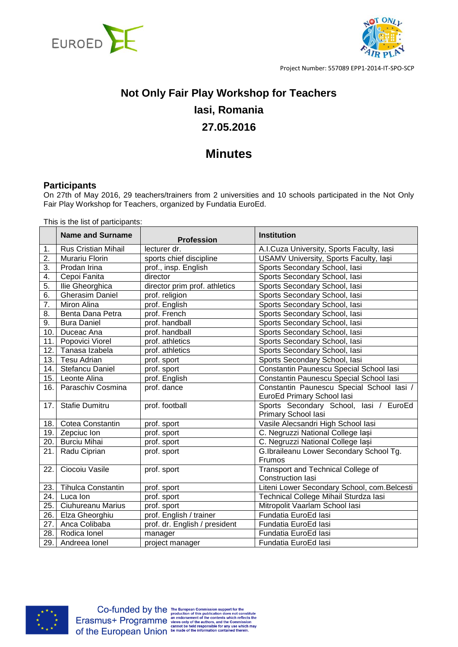



# **Not Only Fair Play Workshop for Teachers Iasi, Romania 27.05.2016**

# **Minutes**

### **Participants**

On 27th of May 2016, 29 teachers/trainers from 2 universities and 10 schools participated in the Not Only Fair Play Workshop for Teachers, organized by Fundatia EuroEd.

This is the list of participants:

|                  | <b>Name and Surname</b>    | <b>Profession</b>             | <b>Institution</b>                                            |
|------------------|----------------------------|-------------------------------|---------------------------------------------------------------|
| 1.               | <b>Rus Cristian Mihail</b> | lecturer dr.                  | A.I.Cuza University, Sports Faculty, lasi                     |
| 2.               | Murariu Florin             | sports chief discipline       | USAMV University, Sports Faculty, Iași                        |
| 3.               | Prodan Irina               | prof., insp. English          | Sports Secondary School, lasi                                 |
| 4.               | Cepoi Fanita               | director                      | Sports Secondary School, lasi                                 |
| 5.               | Ilie Gheorghica            | director prim prof. athletics | Sports Secondary School, lasi                                 |
| 6.               | <b>Gherasim Daniel</b>     | prof. religion                | Sports Secondary School, lasi                                 |
| $\overline{7}$ . | Miron Alina                | prof. English                 | Sports Secondary School, lasi                                 |
| 8.               | Benta Dana Petra           | prof. French                  | Sports Secondary School, lasi                                 |
| 9.               | <b>Bura Daniel</b>         | prof. handball                | Sports Secondary School, lasi                                 |
| 10.              | Duceac Ana                 | prof. handball                | Sports Secondary School, lasi                                 |
| 11.              | Popovici Viorel            | prof. athletics               | Sports Secondary School, lasi                                 |
| 12.              | Tanasa Izabela             | prof. athletics               | Sports Secondary School, lasi                                 |
| 13.              | Tesu Adrian                | prof. sport                   | Sports Secondary School, lasi                                 |
| 14.              | <b>Stefancu Daniel</b>     | prof. sport                   | Constantin Paunescu Special School lasi                       |
| 15.              | Leonte Alina               | prof. English                 | Constantin Paunescu Special School lasi                       |
| 16.              | Paraschiv Cosmina          | prof. dance                   | Constantin Paunescu Special School Iasi /                     |
|                  |                            |                               | EuroEd Primary School lasi                                    |
| 17.              | <b>Stafie Dumitru</b>      | prof. football                | Sports Secondary School, lasi / EuroEd<br>Primary School lasi |
| 18.              | <b>Cotea Constantin</b>    | prof. sport                   | Vasile Alecsandri High School lasi                            |
| 19.              | Zepciuc Ion                | prof. sport                   | C. Negruzzi National College lasi                             |
| 20.              | <b>Burciu Mihai</b>        | prof. sport                   | C. Negruzzi National College lasi                             |
| 21.              | Radu Ciprian               | prof. sport                   | G.Ibraileanu Lower Secondary School Tg.                       |
| 22.              | Ciocoiu Vasile             | prof. sport                   | Frumos<br><b>Transport and Technical College of</b>           |
|                  |                            |                               | <b>Construction lasi</b>                                      |
| 23.              | <b>Tihulca Constantin</b>  | prof. sport                   | Liteni Lower Secondary School, com. Belcesti                  |
| 24.              | Luca Ion                   | prof. sport                   | Technical College Mihail Sturdza lasi                         |
| 25.              | <b>Ciuhureanu Marius</b>   | prof. sport                   | Mitropolit Vaarlam School lasi                                |
| 26.              | Elza Gheorghiu             | prof. English / trainer       | Fundatia EuroEd lasi                                          |
| 27.              | Anca Colibaba              | prof. dr. English / president | Fundatia EuroEd lasi                                          |
| 28.              | Rodica Ionel               | manager                       | Fundatia EuroEd lasi                                          |
| 29.              | Andreea lonel              | project manager               | Fundatia EuroEd lasi                                          |

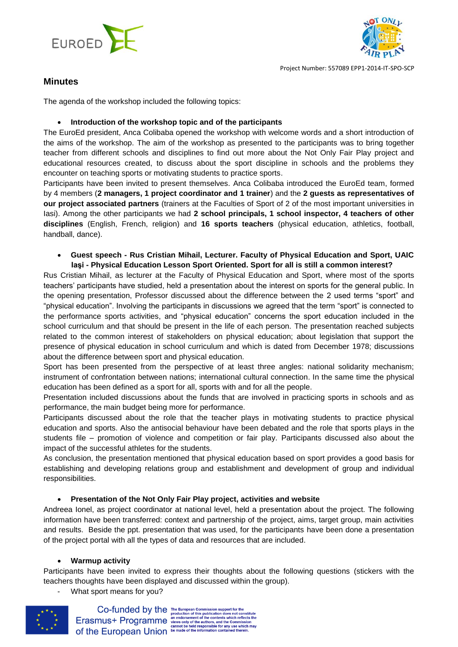



## **Minutes**

The agenda of the workshop included the following topics:

#### **Introduction of the workshop topic and of the participants**

The EuroEd president, Anca Colibaba opened the workshop with welcome words and a short introduction of the aims of the workshop. The aim of the workshop as presented to the participants was to bring together teacher from different schools and disciplines to find out more about the Not Only Fair Play project and educational resources created, to discuss about the sport discipline in schools and the problems they encounter on teaching sports or motivating students to practice sports.

Participants have been invited to present themselves. Anca Colibaba introduced the EuroEd team, formed by 4 members (**2 managers, 1 project coordinator and 1 trainer**) and the **2 guests as representatives of our project associated partners** (trainers at the Faculties of Sport of 2 of the most important universities in Iasi). Among the other participants we had **2 school principals, 1 school inspector, 4 teachers of other disciplines** (English, French, religion) and **16 sports teachers** (physical education, athletics, football, handball, dance).

#### **Guest speech - Rus Cristian Mihail, Lecturer. Faculty of Physical Education and Sport, UAIC Iaşi - Physical Education Lesson Sport Oriented. Sport for all is still a common interest?**

Rus Cristian Mihail, as lecturer at the Faculty of Physical Education and Sport, where most of the sports teachers' participants have studied, held a presentation about the interest on sports for the general public. In the opening presentation, Professor discussed about the difference between the 2 used terms "sport" and "physical education". Involving the participants in discussions we agreed that the term "sport" is connected to the performance sports activities, and "physical education" concerns the sport education included in the school curriculum and that should be present in the life of each person. The presentation reached subjects related to the common interest of stakeholders on physical education; about legislation that support the presence of physical education in school curriculum and which is dated from December 1978; discussions about the difference between sport and physical education.

Sport has been presented from the perspective of at least three angles: national solidarity mechanism; instrument of confrontation between nations; international cultural connection. In the same time the physical education has been defined as a sport for all, sports with and for all the people.

Presentation included discussions about the funds that are involved in practicing sports in schools and as performance, the main budget being more for performance.

Participants discussed about the role that the teacher plays in motivating students to practice physical education and sports. Also the antisocial behaviour have been debated and the role that sports plays in the students file – promotion of violence and competition or fair play. Participants discussed also about the impact of the successful athletes for the students.

As conclusion, the presentation mentioned that physical education based on sport provides a good basis for establishing and developing relations group and establishment and development of group and individual responsibilities.

#### **Presentation of the Not Only Fair Play project, activities and website**

Andreea Ionel, as project coordinator at national level, held a presentation about the project. The following information have been transferred: context and partnership of the project, aims, target group, main activities and results. Beside the ppt. presentation that was used, for the participants have been done a presentation of the project portal with all the types of data and resources that are included.

#### **Warmup activity**

Participants have been invited to express their thoughts about the following questions (stickers with the teachers thoughts have been displayed and discussed within the group).

- What sport means for you?



 $\textbf{Co-fundred by the {\tiny\textsf{F}}\xspace} {\tiny\textsf{F}}\xspace\textcolor{red}{\textsf{P}}\xspace\textcolor{red}{\textsf{f}}\xspace\textcolor{red}{\textsf{in}}\xspace\textcolor{red}{\textsf{Q}}\xspace\textcolor{red}{\textsf{f}}\xspace\textcolor{red}{\textsf{in}}\xspace\textcolor{red}{\textsf{D}}\xspace\textcolor{red}{\textsf{in}}\xspace\textcolor{red}{\textsf{in}}\xspace\textcolor{red}{\textsf{in}}\xspace\textcolor{red}{\textsf{in}}\xspace\textcolor{red}{\textsf{in}}\xspace\textcolor{red}{\text$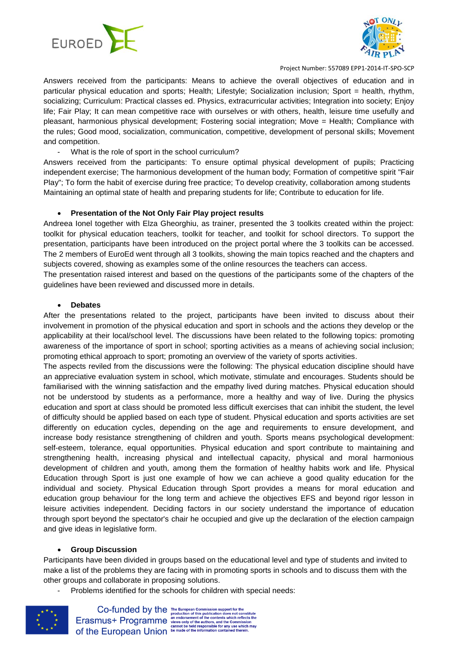



Answers received from the participants: Means to achieve the overall objectives of education and in particular physical education and sports; Health; Lifestyle; Socialization inclusion; Sport = health, rhythm, socializing; Curriculum: Practical classes ed. Physics, extracurricular activities; Integration into society; Enjoy life; Fair Play; It can mean competitive race with ourselves or with others, health, leisure time usefully and pleasant, harmonious physical development; Fostering social integration; Move = Health; Compliance with the rules; Good mood, socialization, communication, competitive, development of personal skills; Movement and competition.

What is the role of sport in the school curriculum?

Answers received from the participants: To ensure optimal physical development of pupils; Practicing independent exercise; The harmonious development of the human body; Formation of competitive spirit "Fair Play"; To form the habit of exercise during free practice; To develop creativity, collaboration among students Maintaining an optimal state of health and preparing students for life; Contribute to education for life.

#### **Presentation of the Not Only Fair Play project results**

Andreea Ionel together with Elza Gheorghiu, as trainer, presented the 3 toolkits created within the project: toolkit for physical education teachers, toolkit for teacher, and toolkit for school directors. To support the presentation, participants have been introduced on the project portal where the 3 toolkits can be accessed. The 2 members of EuroEd went through all 3 toolkits, showing the main topics reached and the chapters and subjects covered, showing as examples some of the online resources the teachers can access.

The presentation raised interest and based on the questions of the participants some of the chapters of the guidelines have been reviewed and discussed more in details.

#### **Debates**

After the presentations related to the project, participants have been invited to discuss about their involvement in promotion of the physical education and sport in schools and the actions they develop or the applicability at their local/school level. The discussions have been related to the following topics: promoting awareness of the importance of sport in school; sporting activities as a means of achieving social inclusion; promoting ethical approach to sport; promoting an overview of the variety of sports activities.

The aspects reviled from the discussions were the following: The physical education discipline should have an appreciative evaluation system in school, which motivate, stimulate and encourages. Students should be familiarised with the winning satisfaction and the empathy lived during matches. Physical education should not be understood by students as a performance, more a healthy and way of live. During the physics education and sport at class should be promoted less difficult exercises that can inhibit the student, the level of difficulty should be applied based on each type of student. Physical education and sports activities are set differently on education cycles, depending on the age and requirements to ensure development, and increase body resistance strengthening of children and youth. Sports means psychological development: self-esteem, tolerance, equal opportunities. Physical education and sport contribute to maintaining and strengthening health, increasing physical and intellectual capacity, physical and moral harmonious development of children and youth, among them the formation of healthy habits work and life. Physical Education through Sport is just one example of how we can achieve a good quality education for the individual and society. Physical Education through Sport provides a means for moral education and education group behaviour for the long term and achieve the objectives EFS and beyond rigor lesson in leisure activities independent. Deciding factors in our society understand the importance of education through sport beyond the spectator's chair he occupied and give up the declaration of the election campaign and give ideas in legislative form.

#### **Group Discussion**

Participants have been divided in groups based on the educational level and type of students and invited to make a list of the problems they are facing with in promoting sports in schools and to discuss them with the other groups and collaborate in proposing solutions.

Problems identified for the schools for children with special needs:

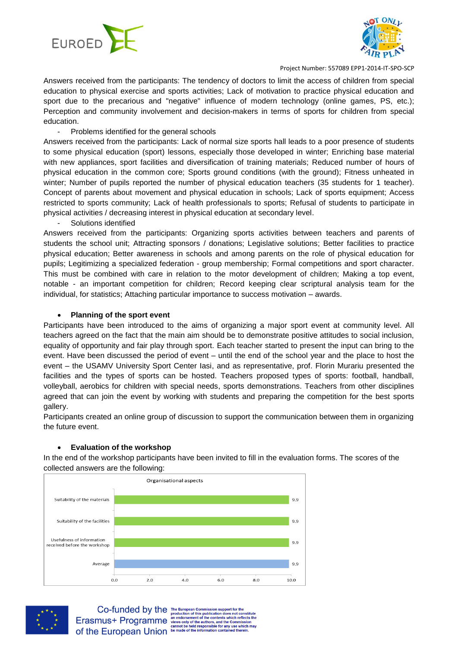



Answers received from the participants: The tendency of doctors to limit the access of children from special education to physical exercise and sports activities; Lack of motivation to practice physical education and sport due to the precarious and "negative" influence of modern technology (online games, PS, etc.); Perception and community involvement and decision-makers in terms of sports for children from special education.

#### - Problems identified for the general schools

Answers received from the participants: Lack of normal size sports hall leads to a poor presence of students to some physical education (sport) lessons, especially those developed in winter; Enriching base material with new appliances, sport facilities and diversification of training materials; Reduced number of hours of physical education in the common core; Sports ground conditions (with the ground); Fitness unheated in winter; Number of pupils reported the number of physical education teachers (35 students for 1 teacher). Concept of parents about movement and physical education in schools; Lack of sports equipment; Access restricted to sports community; Lack of health professionals to sports; Refusal of students to participate in physical activities / decreasing interest in physical education at secondary level.

Solutions identified

Answers received from the participants: Organizing sports activities between teachers and parents of students the school unit; Attracting sponsors / donations; Legislative solutions; Better facilities to practice physical education; Better awareness in schools and among parents on the role of physical education for pupils; Legitimizing a specialized federation - group membership; Formal competitions and sport character. This must be combined with care in relation to the motor development of children; Making a top event, notable - an important competition for children; Record keeping clear scriptural analysis team for the individual, for statistics; Attaching particular importance to success motivation – awards.

#### **Planning of the sport event**

Participants have been introduced to the aims of organizing a major sport event at community level. All teachers agreed on the fact that the main aim should be to demonstrate positive attitudes to social inclusion, equality of opportunity and fair play through sport. Each teacher started to present the input can bring to the event. Have been discussed the period of event – until the end of the school year and the place to host the event – the USAMV University Sport Center Iasi, and as representative, prof. Florin Murariu presented the facilities and the types of sports can be hosted. Teachers proposed types of sports: football, handball, volleyball, aerobics for children with special needs, sports demonstrations. Teachers from other disciplines agreed that can join the event by working with students and preparing the competition for the best sports gallery.

Participants created an online group of discussion to support the communication between them in organizing the future event.

#### **Evaluation of the workshop**

In the end of the workshop participants have been invited to fill in the evaluation forms. The scores of the collected answers are the following:





 $\textbf{Co-fundred by the {\tiny\textsf{F}}\xspace} {\tiny\textsf{F}}\xspace\textcolor{red}{\textsf{F}}\xspace\textcolor{red}{\textsf{F}}\xspace\textcolor{red}{\textsf{in}}\xspace\textcolor{red}{\textsf{C}}\xspace\textcolor{red}{\textsf{in}}\xspace\textcolor{red}{\textsf{in}}\xspace\textcolor{red}{\textsf{in}}\xspace\textcolor{red}{\textsf{in}}\xspace\textcolor{red}{\textsf{in}}\xspace\textcolor{red}{\textsf{in}}\xspace\textcolor{red}{\textsf{in}}\xspace\textcolor{red}{\textsf{in}}\xspace\textcolor{red}{\text$